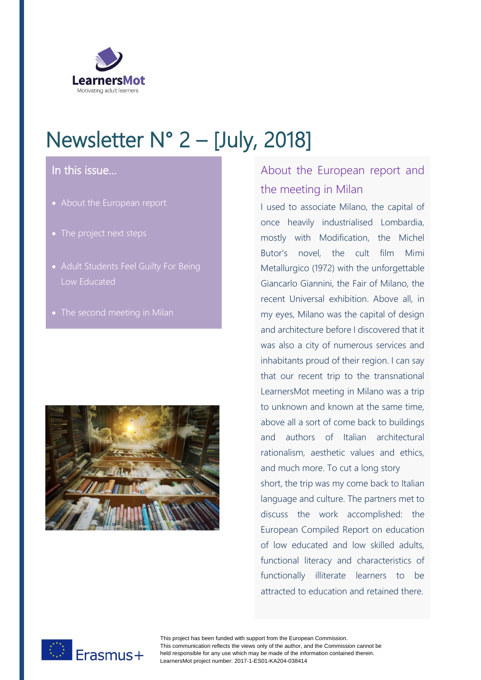

# Newsletter N° 2 – [July, 2018]

#### In this issue…

- About the European report
- The project next steps
- Adult Students Feel Guilty For Being Low Educated
- 



## About the European report and the meeting in Milan

I used to associate Milano, the capital of once heavily industrialised Lombardia, mostly with Modification, the Michel Butor's novel, the cult film Mimi Metallurgico (1972) with the unforgettable Giancarlo Giannini, the Fair of Milano, the recent Universal exhibition. Above all, in my eyes, Milano was the capital of design and architecture before I discovered that it was also a city of numerous services and inhabitants proud of their region. I can say that our recent trip to the transnational LearnersMot meeting in Milano was a trip to unknown and known at the same time, above all a sort of come back to buildings and authors of Italian architectural rationalism, aesthetic values and ethics, and much more. To cut a long story short, the trip was my come back to Italian language and culture. The partners met to discuss the work accomplished: the European Compiled Report on education of low educated and low skilled adults, functional literacy and characteristics of functionally illiterate learners to be attracted to education and retained there.



This project has been funded with support from the European Commission. This communication reflects the views only of the author, and the Commission cannot be held responsible for any use which may be made of the information contained therein. LearnersMot project number: 2017-1-ES01-KA204-038414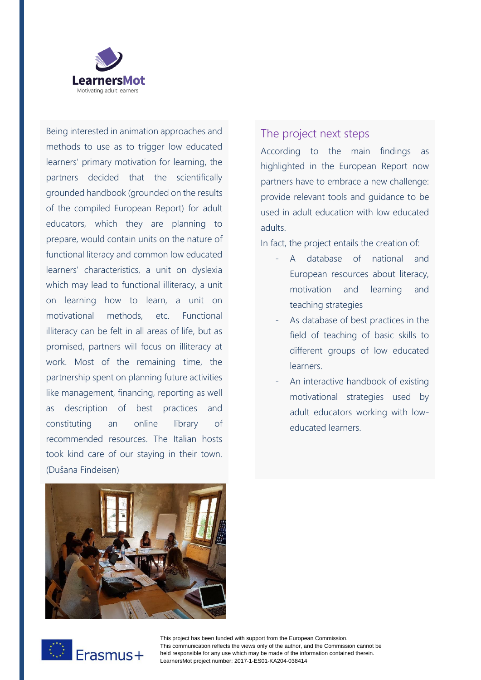

Being interested in animation approaches and methods to use as to trigger low educated learners' primary motivation for learning, the partners decided that the scientifically grounded handbook (grounded on the results of the compiled European Report) for adult educators, which they are planning to prepare, would contain units on the nature of functional literacy and common low educated learners' characteristics, a unit on dyslexia which may lead to functional illiteracy, a unit on learning how to learn, a unit on motivational methods, etc. Functional illiteracy can be felt in all areas of life, but as promised, partners will focus on illiteracy at work. Most of the remaining time, the partnership spent on planning future activities like management, financing, reporting as well as description of best practices and constituting an online library of recommended resources. The Italian hosts took kind care of our staying in their town. (Dušana Findeisen)



According to the main findings as highlighted in the European Report now partners have to embrace a new challenge: provide relevant tools and guidance to be used in adult education with low educated adults.

In fact, the project entails the creation of:

- A database of national and European resources about literacy, motivation and learning and teaching strategies
- As database of best practices in the field of teaching of basic skills to different groups of low educated learners.
- An interactive handbook of existing motivational strategies used by adult educators working with loweducated learners.



Erasmus+

This project has been funded with support from the European Commission. This communication reflects the views only of the author, and the Commission cannot be held responsible for any use which may be made of the information contained therein. LearnersMot project number: 2017-1-ES01-KA204-038414